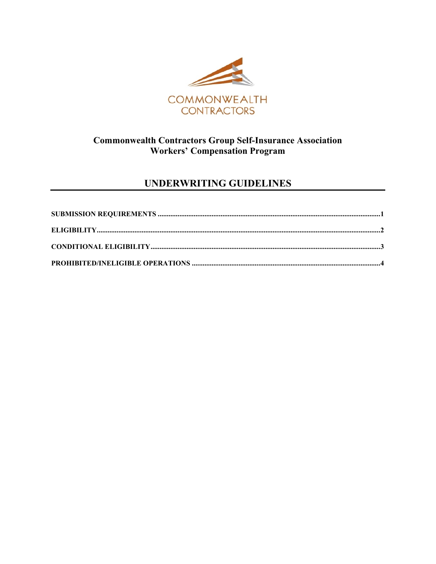

## **Commonwealth Contractors Group Self-Insurance Association Workers' Compensation Program**

# **UNDERWRITING GUIDELINES**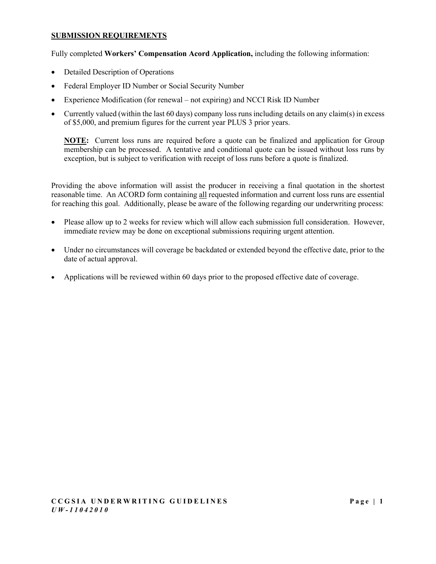#### <span id="page-1-0"></span>**SUBMISSION REQUIREMENTS**

Fully completed **Workers' Compensation Acord Application,** including the following information:

- Detailed Description of Operations
- Federal Employer ID Number or Social Security Number
- Experience Modification (for renewal not expiring) and NCCI Risk ID Number
- Currently valued (within the last 60 days) company loss runs including details on any claim(s) in excess of \$5,000, and premium figures for the current year PLUS 3 prior years.

**NOTE:** Current loss runs are required before a quote can be finalized and application for Group membership can be processed. A tentative and conditional quote can be issued without loss runs by exception, but is subject to verification with receipt of loss runs before a quote is finalized.

Providing the above information will assist the producer in receiving a final quotation in the shortest reasonable time. An ACORD form containing all requested information and current loss runs are essential for reaching this goal. Additionally, please be aware of the following regarding our underwriting process:

- Please allow up to 2 weeks for review which will allow each submission full consideration. However, immediate review may be done on exceptional submissions requiring urgent attention.
- Under no circumstances will coverage be backdated or extended beyond the effective date, prior to the date of actual approval.
- Applications will be reviewed within 60 days prior to the proposed effective date of coverage.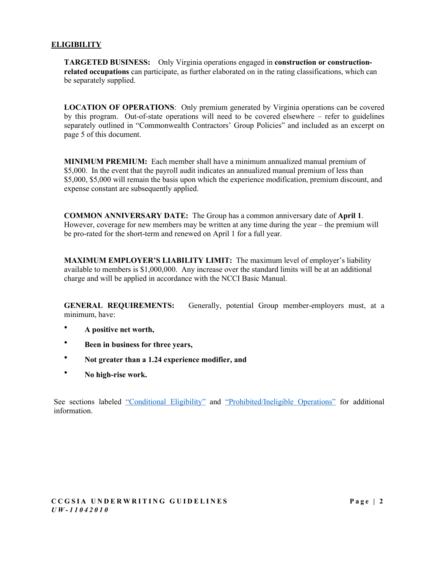#### <span id="page-2-0"></span>**ELIGIBILITY**

**TARGETED BUSINESS:** Only Virginia operations engaged in **construction or constructionrelated occupations** can participate, as further elaborated on in the rating classifications, which can be separately supplied.

**LOCATION OF OPERATIONS**: Only premium generated by Virginia operations can be covered by this program. Out-of-state operations will need to be covered elsewhere – refer to guidelines separately outlined in "Commonwealth Contractors' Group Policies" and included as an excerpt on page 5 of this document.

**MINIMUM PREMIUM:** Each member shall have a minimum annualized manual premium of \$5,000. In the event that the payroll audit indicates an annualized manual premium of less than \$5,000, \$5,000 will remain the basis upon which the experience modification, premium discount, and expense constant are subsequently applied.

**COMMON ANNIVERSARY DATE:** The Group has a common anniversary date of **April 1**. However, coverage for new members may be written at any time during the year – the premium will be pro-rated for the short-term and renewed on April 1 for a full year.

**MAXIMUM EMPLOYER'S LIABILITY LIMIT:** The maximum level of employer's liability available to members is \$1,000,000. Any increase over the standard limits will be at an additional charge and will be applied in accordance with the NCCI Basic Manual.

**GENERAL REQUIREMENTS:** Generally, potential Group member-employers must, at a minimum, have:

- **∙ A positive net worth,**
- **∙ Been in business for three years,**
- **∙ Not greater than a 1.24 experience modifier, and**
- **∙ No high-rise work.**

See sections labeled ["Conditional Eligibility"](#page-3-0) and ["Prohibited/Ineligible Operations"](#page-4-0) for additional information.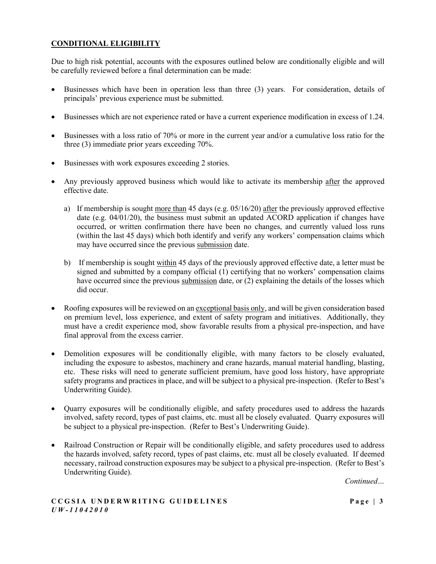## <span id="page-3-0"></span>**CONDITIONAL ELIGIBILITY**

Due to high risk potential, accounts with the exposures outlined below are conditionally eligible and will be carefully reviewed before a final determination can be made:

- Businesses which have been in operation less than three (3) years. For consideration, details of principals' previous experience must be submitted.
- Businesses which are not experience rated or have a current experience modification in excess of 1.24.
- Businesses with a loss ratio of 70% or more in the current year and/or a cumulative loss ratio for the three (3) immediate prior years exceeding 70%.
- Businesses with work exposures exceeding 2 stories.
- Any previously approved business which would like to activate its membership after the approved effective date.
	- a) If membership is sought more than 45 days (e.g.  $0.05/16/20$ ) after the previously approved effective date (e.g. 04/01/20), the business must submit an updated ACORD application if changes have occurred, or written confirmation there have been no changes, and currently valued loss runs (within the last 45 days) which both identify and verify any workers' compensation claims which may have occurred since the previous submission date.
	- b) If membership is sought within 45 days of the previously approved effective date, a letter must be signed and submitted by a company official (1) certifying that no workers' compensation claims have occurred since the previous submission date, or (2) explaining the details of the losses which did occur.
- Roofing exposures will be reviewed on an exceptional basis only, and will be given consideration based on premium level, loss experience, and extent of safety program and initiatives. Additionally, they must have a credit experience mod, show favorable results from a physical pre-inspection, and have final approval from the excess carrier.
- Demolition exposures will be conditionally eligible, with many factors to be closely evaluated, including the exposure to asbestos, machinery and crane hazards, manual material handling, blasting, etc. These risks will need to generate sufficient premium, have good loss history, have appropriate safety programs and practices in place, and will be subject to a physical pre-inspection. (Refer to Best's Underwriting Guide).
- Quarry exposures will be conditionally eligible, and safety procedures used to address the hazards involved, safety record, types of past claims, etc. must all be closely evaluated. Quarry exposures will be subject to a physical pre-inspection. (Refer to Best's Underwriting Guide).
- Railroad Construction or Repair will be conditionally eligible, and safety procedures used to address the hazards involved, safety record, types of past claims, etc. must all be closely evaluated. If deemed necessary, railroad construction exposures may be subject to a physical pre-inspection. (Refer to Best's Underwriting Guide).

*Continued…*

#### **CCGSIA UNDERWRITING GUIDELINES Pag e | 3** *U W - 11042010*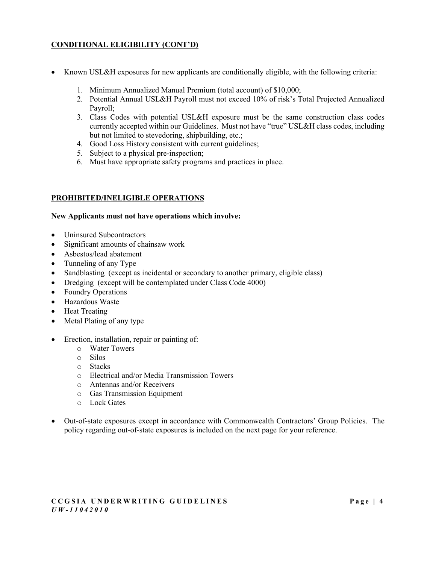## **CONDITIONAL ELIGIBILITY (CONT'D)**

- Known USL&H exposures for new applicants are conditionally eligible, with the following criteria:
	- 1. Minimum Annualized Manual Premium (total account) of \$10,000;
	- 2. Potential Annual USL&H Payroll must not exceed 10% of risk's Total Projected Annualized Payroll;
	- 3. Class Codes with potential USL&H exposure must be the same construction class codes currently accepted within our Guidelines. Must not have "true" USL&H class codes, including but not limited to stevedoring, shipbuilding, etc.;
	- 4. Good Loss History consistent with current guidelines;
	- 5. Subject to a physical pre-inspection;
	- 6. Must have appropriate safety programs and practices in place.

### <span id="page-4-0"></span>**PROHIBITED/INELIGIBLE OPERATIONS**

#### **New Applicants must not have operations which involve:**

- Uninsured Subcontractors
- Significant amounts of chainsaw work
- Asbestos/lead abatement
- Tunneling of any Type
- Sandblasting (except as incidental or secondary to another primary, eligible class)
- Dredging (except will be contemplated under Class Code 4000)
- Foundry Operations
- Hazardous Waste
- Heat Treating
- Metal Plating of any type
- Erection, installation, repair or painting of:
	- o Water Towers
	- o Silos
	- o Stacks
	- o Electrical and/or Media Transmission Towers
	- o Antennas and/or Receivers
	- o Gas Transmission Equipment
	- o Lock Gates
- Out-of-state exposures except in accordance with Commonwealth Contractors' Group Policies. The policy regarding out-of-state exposures is included on the next page for your reference.